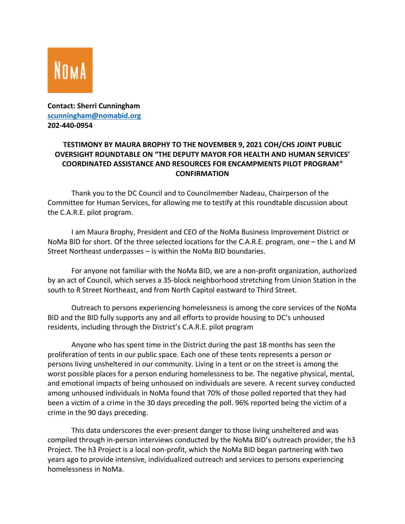

## **Contact: Sherri Cunningham [scunningham@nomabid.org](mailto:scunningham@nomabid.org)  202-440-0954**

## **TESTIMONY BY MAURA BROPHY TO THE NOVEMBER 9, 2021 COH/CHS JOINT PUBLIC OVERSIGHT ROUNDTABLE ON "THE DEPUTY MAYOR FOR HEALTH AND HUMAN SERVICES' COORDINATED ASSISTANCE AND RESOURCES FOR ENCAMPMENTS PILOT PROGRAM" CONFIRMATION**

Thank you to the DC Council and to Councilmember Nadeau, Chairperson of the Committee for Human Services, for allowing me to testify at this roundtable discussion about the C.A.R.E. pilot program.

I am Maura Brophy, President and CEO of the NoMa Business Improvement District or NoMa BID for short. Of the three selected locations for the C.A.R.E. program, one – the L and M Street Northeast underpasses – is within the NoMa BID boundaries.

For anyone not familiar with the NoMa BID, we are a non-profit organization, authorized by an act of Council, which serves a 35-block neighborhood stretching from Union Station in the south to R Street Northeast, and from North Capitol eastward to Third Street.

Outreach to persons experiencing homelessness is among the core services of the NoMa BID and the BID fully supports any and all efforts to provide housing to DC's unhoused residents, including through the District's C.A.R.E. pilot program

Anyone who has spent time in the District during the past 18 months has seen the proliferation of tents in our public space. Each one of these tents represents a person or persons living unsheltered in our community. Living in a tent or on the street is among the worst possible places for a person enduring homelessness to be. The negative physical, mental, and emotional impacts of being unhoused on individuals are severe. A recent survey conducted among unhoused individuals in NoMa found that 70% of those polled reported that they had been a victim of a crime in the 30 days preceding the poll. 96% reported being the victim of a crime in the 90 days preceding.

This data underscores the ever-present danger to those living unsheltered and was compiled through in-person interviews conducted by the NoMa BID's outreach provider, the h3 Project. The h3 Project is a local non-profit, which the NoMa BID began partnering with two years ago to provide intensive, individualized outreach and services to persons experiencing homelessness in NoMa.